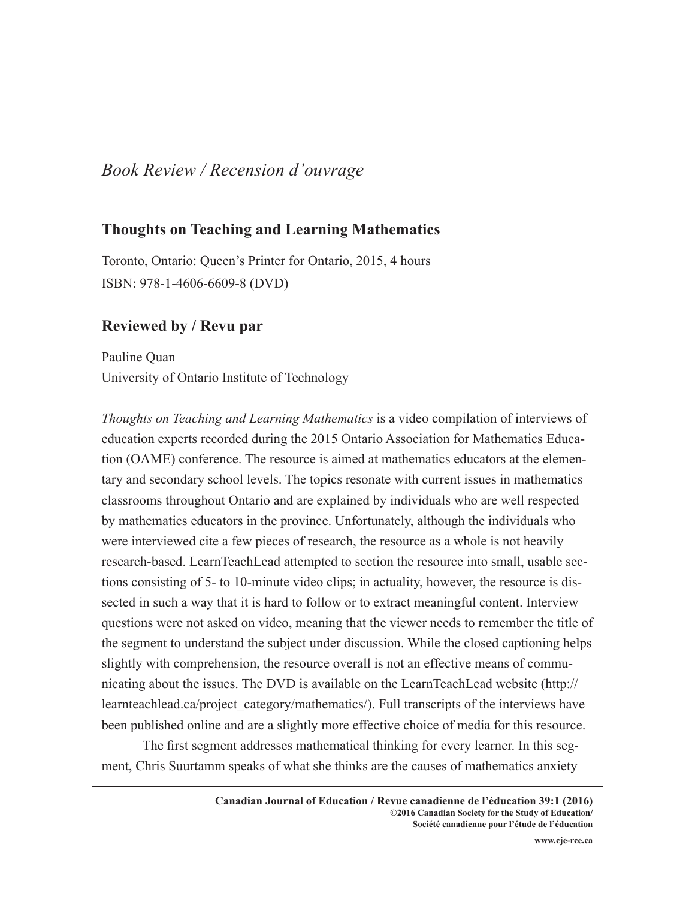## *Book Review / Recension d'ouvrage*

## **Thoughts on Teaching and Learning Mathematics**

Toronto, Ontario: Queen's Printer for Ontario, 2015, 4 hours ISBN: 978-1-4606-6609-8 (DVD)

## **Reviewed by / Revu par**

Pauline Quan University of Ontario Institute of Technology

*Thoughts on Teaching and Learning Mathematics* is a video compilation of interviews of education experts recorded during the 2015 Ontario Association for Mathematics Education (OAME) conference. The resource is aimed at mathematics educators at the elementary and secondary school levels. The topics resonate with current issues in mathematics classrooms throughout Ontario and are explained by individuals who are well respected by mathematics educators in the province. Unfortunately, although the individuals who were interviewed cite a few pieces of research, the resource as a whole is not heavily research-based. LearnTeachLead attempted to section the resource into small, usable sections consisting of 5- to 10-minute video clips; in actuality, however, the resource is dissected in such a way that it is hard to follow or to extract meaningful content. Interview questions were not asked on video, meaning that the viewer needs to remember the title of the segment to understand the subject under discussion. While the closed captioning helps slightly with comprehension, the resource overall is not an effective means of communicating about the issues. The DVD is available on the LearnTeachLead website (http:// learnteachlead.ca/project\_category/mathematics/). Full transcripts of the interviews have been published online and are a slightly more effective choice of media for this resource.

The first segment addresses mathematical thinking for every learner. In this segment, Chris Suurtamm speaks of what she thinks are the causes of mathematics anxiety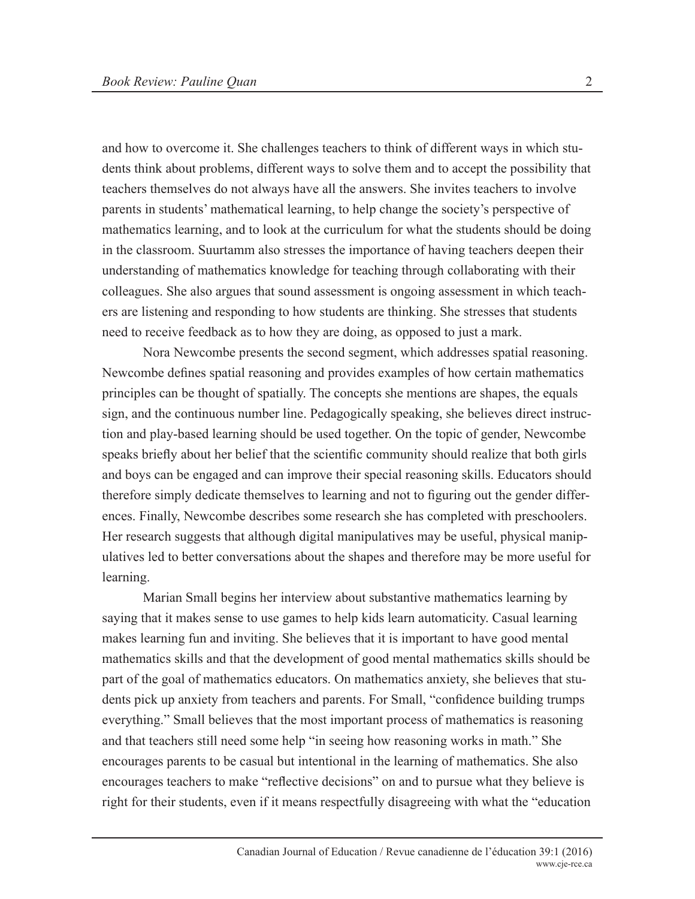and how to overcome it. She challenges teachers to think of different ways in which students think about problems, different ways to solve them and to accept the possibility that teachers themselves do not always have all the answers. She invites teachers to involve parents in students' mathematical learning, to help change the society's perspective of mathematics learning, and to look at the curriculum for what the students should be doing in the classroom. Suurtamm also stresses the importance of having teachers deepen their understanding of mathematics knowledge for teaching through collaborating with their colleagues. She also argues that sound assessment is ongoing assessment in which teachers are listening and responding to how students are thinking. She stresses that students need to receive feedback as to how they are doing, as opposed to just a mark.

Nora Newcombe presents the second segment, which addresses spatial reasoning. Newcombe defines spatial reasoning and provides examples of how certain mathematics principles can be thought of spatially. The concepts she mentions are shapes, the equals sign, and the continuous number line. Pedagogically speaking, she believes direct instruction and play-based learning should be used together. On the topic of gender, Newcombe speaks briefly about her belief that the scientific community should realize that both girls and boys can be engaged and can improve their special reasoning skills. Educators should therefore simply dedicate themselves to learning and not to figuring out the gender differences. Finally, Newcombe describes some research she has completed with preschoolers. Her research suggests that although digital manipulatives may be useful, physical manipulatives led to better conversations about the shapes and therefore may be more useful for learning.

Marian Small begins her interview about substantive mathematics learning by saying that it makes sense to use games to help kids learn automaticity. Casual learning makes learning fun and inviting. She believes that it is important to have good mental mathematics skills and that the development of good mental mathematics skills should be part of the goal of mathematics educators. On mathematics anxiety, she believes that students pick up anxiety from teachers and parents. For Small, "confidence building trumps everything." Small believes that the most important process of mathematics is reasoning and that teachers still need some help "in seeing how reasoning works in math." She encourages parents to be casual but intentional in the learning of mathematics. She also encourages teachers to make "reflective decisions" on and to pursue what they believe is right for their students, even if it means respectfully disagreeing with what the "education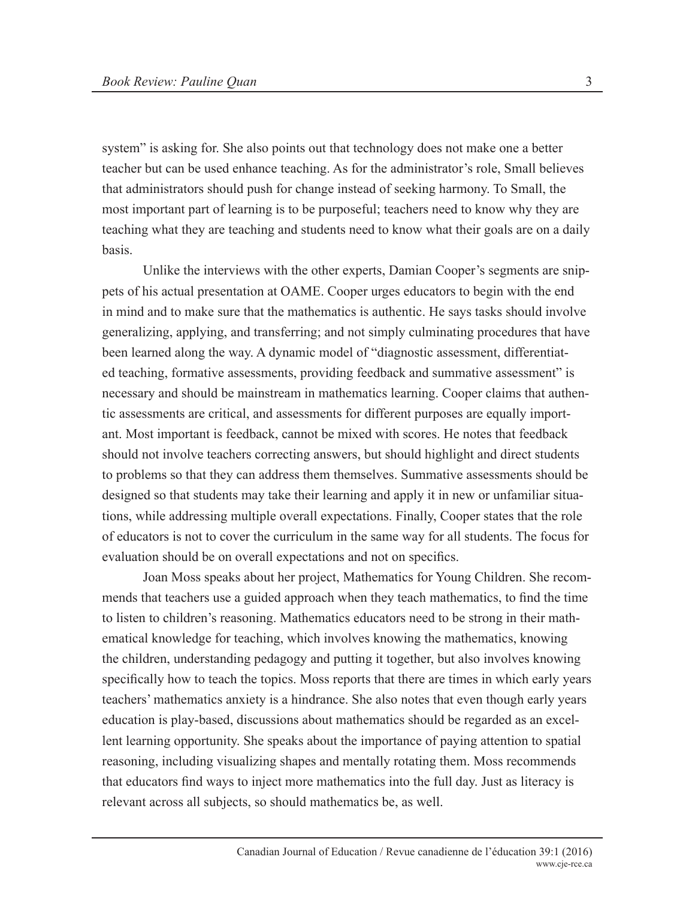system" is asking for. She also points out that technology does not make one a better teacher but can be used enhance teaching. As for the administrator's role, Small believes that administrators should push for change instead of seeking harmony. To Small, the most important part of learning is to be purposeful; teachers need to know why they are teaching what they are teaching and students need to know what their goals are on a daily basis.

Unlike the interviews with the other experts, Damian Cooper's segments are snippets of his actual presentation at OAME. Cooper urges educators to begin with the end in mind and to make sure that the mathematics is authentic. He says tasks should involve generalizing, applying, and transferring; and not simply culminating procedures that have been learned along the way. A dynamic model of "diagnostic assessment, differentiated teaching, formative assessments, providing feedback and summative assessment" is necessary and should be mainstream in mathematics learning. Cooper claims that authentic assessments are critical, and assessments for different purposes are equally important. Most important is feedback, cannot be mixed with scores. He notes that feedback should not involve teachers correcting answers, but should highlight and direct students to problems so that they can address them themselves. Summative assessments should be designed so that students may take their learning and apply it in new or unfamiliar situations, while addressing multiple overall expectations. Finally, Cooper states that the role of educators is not to cover the curriculum in the same way for all students. The focus for evaluation should be on overall expectations and not on specifics.

Joan Moss speaks about her project, Mathematics for Young Children. She recommends that teachers use a guided approach when they teach mathematics, to find the time to listen to children's reasoning. Mathematics educators need to be strong in their mathematical knowledge for teaching, which involves knowing the mathematics, knowing the children, understanding pedagogy and putting it together, but also involves knowing specifically how to teach the topics. Moss reports that there are times in which early years teachers' mathematics anxiety is a hindrance. She also notes that even though early years education is play-based, discussions about mathematics should be regarded as an excellent learning opportunity. She speaks about the importance of paying attention to spatial reasoning, including visualizing shapes and mentally rotating them. Moss recommends that educators find ways to inject more mathematics into the full day. Just as literacy is relevant across all subjects, so should mathematics be, as well.